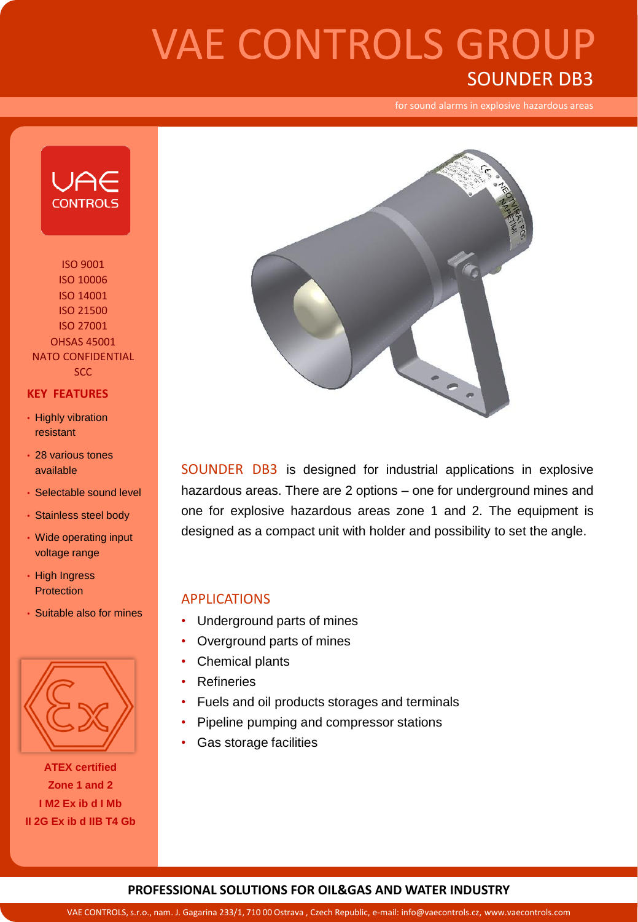# **VAE CONTROLS GROUP** SOUNDER DB3

for sound alarms in explosive hazardous areas



ISO 9001 ISO 10006 ISO 14001 ISO 21500 ISO 27001 OHSAS 45001 NATO CONFIDENTIAL **SCC** 

#### **KEY FEATURES**

- Highly vibration resistant
- 28 various tones available
- Selectable sound level
- Stainless steel body
- Wide operating input voltage range
- High Ingress **Protection**
- Suitable also for mines



**ATEX certified Zone 1 and 2 I M2 Ex ib d I Mb II 2G Ex ib d IIB T4 Gb**



SOUNDER DB3 is designed for industrial applications in explosive hazardous areas. There are 2 options – one for underground mines and one for explosive hazardous areas zone 1 and 2. The equipment is designed as a compact unit with holder and possibility to set the angle.

#### APPLICATIONS

- Underground parts of mines
- Overground parts of mines
- Chemical plants
- Refineries
- Fuels and oil products storages and terminals
- Pipeline pumping and compressor stations
- Gas storage facilities

#### **PROFESSIONAL SOLUTIONS FOR OIL&GAS AND WATER INDUSTRY**